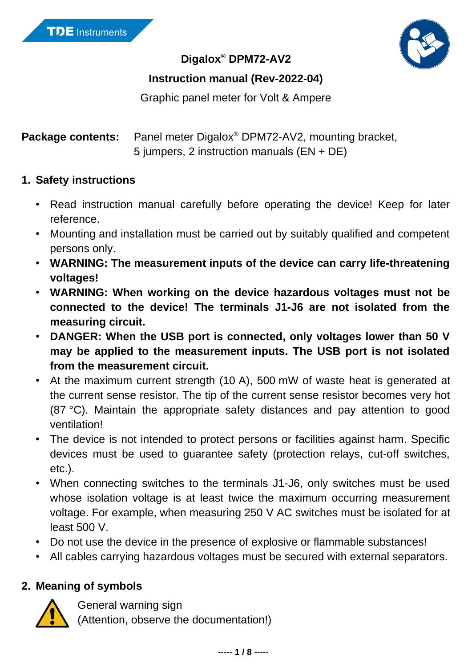

**Digalox® DPM72-AV2**

### **Instruction manual (Rev-2022-04)**

Graphic panel meter for Volt & Ampere

Package contents: Panel meter Digalox<sup>®</sup> DPM72-AV2, mounting bracket, 5 jumpers, 2 instruction manuals (EN + DE)

#### **1. Safety instructions**

- Read instruction manual carefully before operating the device! Keep for later reference.
- Mounting and installation must be carried out by suitably qualified and competent persons only.
- **WARNING: The measurement inputs of the device can carry life-threatening voltages!**
- **WARNING: When working on the device hazardous voltages must not be connected to the device! The terminals J1-J6 are not isolated from the measuring circuit.**
- **DANGER: When the USB port is connected, only voltages lower than 50 V may be applied to the measurement inputs. The USB port is not isolated from the measurement circuit.**
- At the maximum current strength (10 A), 500 mW of waste heat is generated at the current sense resistor. The tip of the current sense resistor becomes very hot (87 °C). Maintain the appropriate safety distances and pay attention to good ventilation!
- The device is not intended to protect persons or facilities against harm. Specific devices must be used to guarantee safety (protection relays, cut-off switches, etc.).
- When connecting switches to the terminals J1-J6, only switches must be used whose isolation voltage is at least twice the maximum occurring measurement voltage. For example, when measuring 250 V AC switches must be isolated for at least 500 V.
- Do not use the device in the presence of explosive or flammable substances!
- All cables carrying hazardous voltages must be secured with external separators.

### **2. Meaning of symbols**



General warning sign

(Attention, observe the documentation!)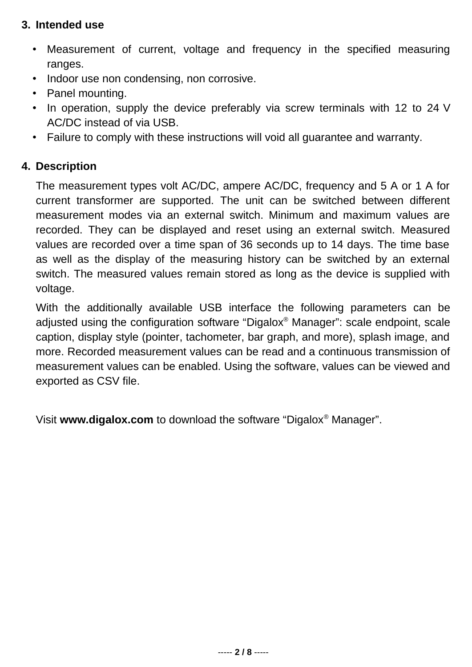### **3. Intended use**

- Measurement of current, voltage and frequency in the specified measuring ranges.
- Indoor use non condensing, non corrosive.
- Panel mounting.
- In operation, supply the device preferably via screw terminals with 12 to 24 V AC/DC instead of via USB.
- Failure to comply with these instructions will void all guarantee and warranty.

## **4. Description**

The measurement types volt AC/DC, ampere AC/DC, frequency and 5 A or 1 A for current transformer are supported. The unit can be switched between different measurement modes via an external switch. Minimum and maximum values are recorded. They can be displayed and reset using an external switch. Measured values are recorded over a time span of 36 seconds up to 14 days. The time base as well as the display of the measuring history can be switched by an external switch. The measured values remain stored as long as the device is supplied with voltage.

With the additionally available USB interface the following parameters can be adjusted using the configuration software "Digalox® Manager": scale endpoint, scale caption, display style (pointer, tachometer, bar graph, and more), splash image, and more. Recorded measurement values can be read and a continuous transmission of measurement values can be enabled. Using the software, values can be viewed and exported as CSV file.

Visit **[www.digalox.com](http://www.digalox.com/)** to download the software "Digalox® Manager".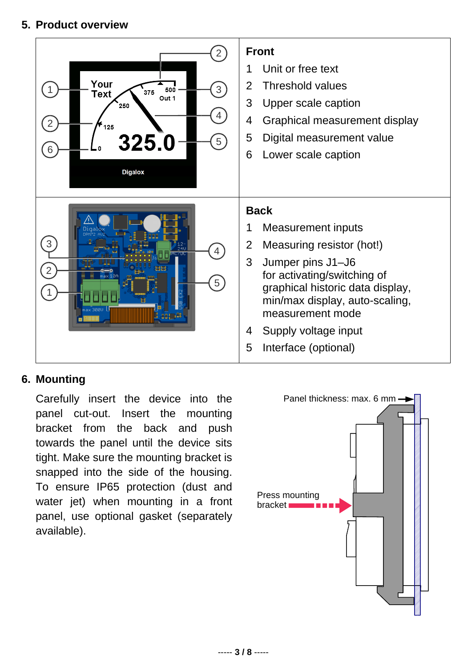### **5. Product overview**



#### **6. Mounting**

Carefully insert the device into the panel cut-out. Insert the mounting bracket from the back and push towards the panel until the device sits tight. Make sure the mounting bracket is snapped into the side of the housing. To ensure IP65 protection (dust and water jet) when mounting in a front panel, use optional gasket (separately available).

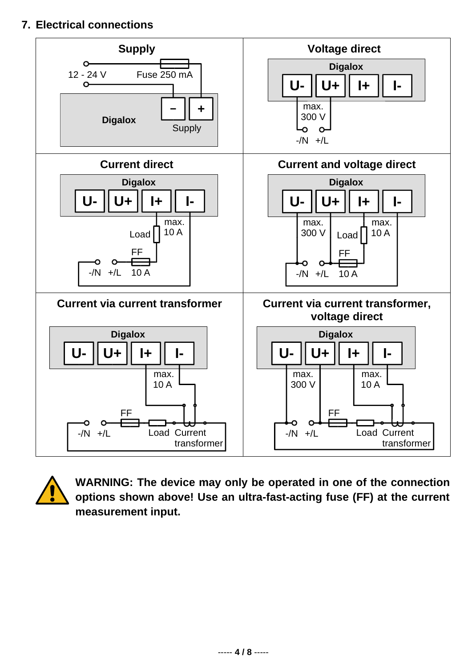### **7. Electrical connections**





**WARNING: The device may only be operated in one of the connection options shown above! Use an ultra-fast-acting fuse (FF) at the current measurement input.**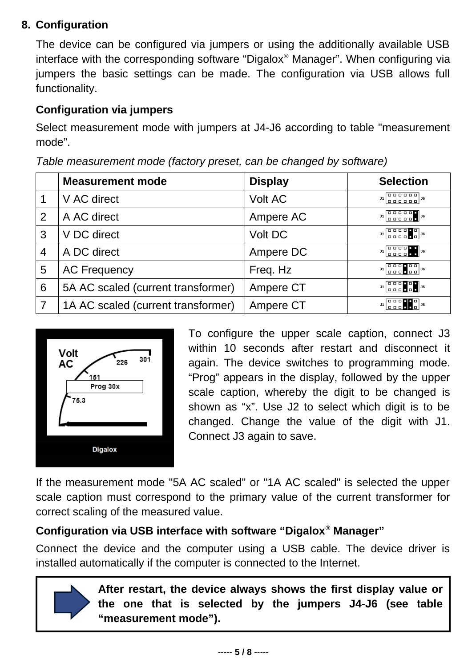## **8. Configuration**

The device can be configured via jumpers or using the additionally available USB interface with the corresponding software "Digalox® Manager". When configuring via jumpers the basic settings can be made. The configuration via USB allows full functionality.

## **Configuration via jumpers**

Select measurement mode with jumpers at J4-J6 according to table "measurement mode".

|   | <b>Measurement mode</b>            | <b>Display</b> | <b>Selection</b>                                                                                                                                                           |
|---|------------------------------------|----------------|----------------------------------------------------------------------------------------------------------------------------------------------------------------------------|
|   | V AC direct                        | <b>Volt AC</b> | $J1$ $\left[\begin{array}{ccc} 0 & 0 & 0 & 0 & 0 \\ 0 & 0 & 0 & 0 & 0 & 0 \\ 0 & 0 & 0 & 0 & 0 & 0 \end{array}\right]$                                                     |
| 2 | A AC direct                        | Ampere AC      | $J1$<br>$\begin{bmatrix} 0 & 0 & 0 & 0 & 0 \\ 0 & 0 & 0 & 0 & 0 \\ 0 & 0 & 0 & 0 & 0 \end{bmatrix}$ $J6$                                                                   |
| 3 | V DC direct                        | Volt DC        | $J1$ $\begin{bmatrix} 0 & 0 & 0 & 0 \\ 0 & 0 & 0 & 0 \end{bmatrix}$ $J6$                                                                                                   |
| 4 | A DC direct                        | Ampere DC      | $J1$ $\begin{bmatrix} 0 & 0 & 0 & 0 \\ 0 & 0 & 0 & 0 \end{bmatrix}$ $J6$                                                                                                   |
| 5 | <b>AC Frequency</b>                | Freq. Hz       |                                                                                                                                                                            |
| 6 | 5A AC scaled (current transformer) | Ampere CT      | $J1$ $\begin{bmatrix} 0 & 0 & 0 & 0 & 0 \\ 0 & 0 & 0 & 0 & 0 \end{bmatrix}$ $J6$                                                                                           |
| 7 | 1A AC scaled (current transformer) | Ampere CT      | $31$ $\begin{bmatrix} 0 & 0 & 0 \\ 0 & 0 & 0 \\ 0 & 0 & 0 \end{bmatrix}$ $\begin{bmatrix} 0 \\ 0 \\ 0 \\ 0 \end{bmatrix}$ $\begin{bmatrix} 0 \\ 0 \\ 0 \\ 0 \end{bmatrix}$ |

*Table measurement mode (factory preset, can be changed by software)*



To configure the upper scale caption, connect J3 within 10 seconds after restart and disconnect it again. The device switches to programming mode. "Prog" appears in the display, followed by the upper scale caption, whereby the digit to be changed is shown as "x". Use J2 to select which digit is to be changed. Change the value of the digit with J1. Connect J3 again to save.

If the measurement mode "5A AC scaled" or "1A AC scaled" is selected the upper scale caption must correspond to the primary value of the current transformer for correct scaling of the measured value.

# **Configuration via USB interface with software "Digalox® Manager"**

Connect the device and the computer using a USB cable. The device driver is installed automatically if the computer is connected to the Internet.



**After restart, the device always shows the first display value or the one that is selected by the jumpers J4-J6 (see table "measurement mode").**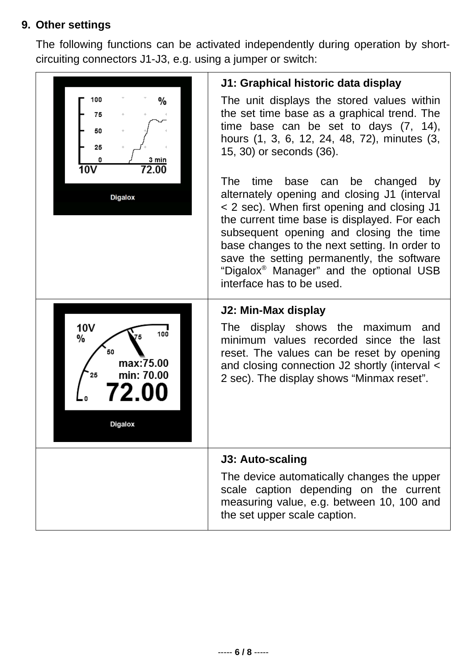# **9. Other settings**

The following functions can be activated independently during operation by shortcircuiting connectors J1-J3, e.g. using a jumper or switch:

| 100<br>%<br>75<br>50<br>25<br>3 min<br>72.00<br>10V<br><b>Digalox</b>            | J1: Graphical historic data display<br>The unit displays the stored values within<br>the set time base as a graphical trend. The<br>time base can be set to days $(7, 14)$ ,<br>hours (1, 3, 6, 12, 24, 48, 72), minutes (3,<br>15, 30) or seconds (36).<br><b>The</b><br>time<br>base<br>can be changed<br>by<br>alternately opening and closing J1 (interval<br>< 2 sec). When first opening and closing J1<br>the current time base is displayed. For each<br>subsequent opening and closing the time<br>base changes to the next setting. In order to<br>save the setting permanently, the software<br>"Digalox <sup>®</sup> Manager" and the optional USB<br>interface has to be used. |
|----------------------------------------------------------------------------------|---------------------------------------------------------------------------------------------------------------------------------------------------------------------------------------------------------------------------------------------------------------------------------------------------------------------------------------------------------------------------------------------------------------------------------------------------------------------------------------------------------------------------------------------------------------------------------------------------------------------------------------------------------------------------------------------|
| 10V<br>100<br>%<br>50<br>max:75.00<br>min: 70.00<br>25<br>2 01<br><b>Digalox</b> | J2: Min-Max display<br>The display shows the maximum<br>and<br>minimum values recorded since the<br>last<br>reset. The values can be reset by opening<br>and closing connection J2 shortly (interval <<br>2 sec). The display shows "Minmax reset".                                                                                                                                                                                                                                                                                                                                                                                                                                         |
|                                                                                  | <b>J3: Auto-scaling</b><br>The device automatically changes the upper<br>scale caption depending on the current<br>measuring value, e.g. between 10, 100 and<br>the set upper scale caption.                                                                                                                                                                                                                                                                                                                                                                                                                                                                                                |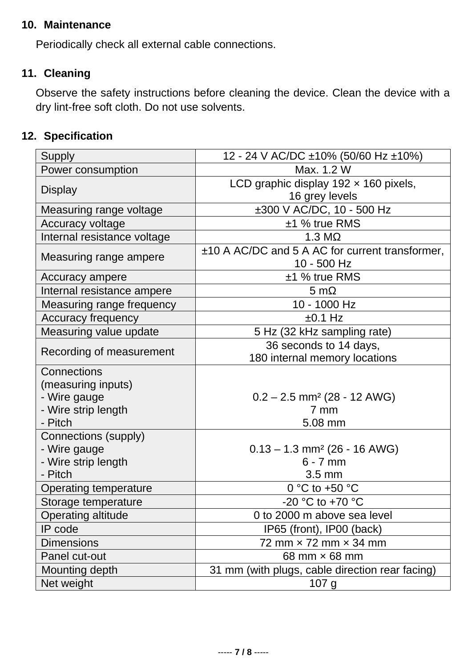### **10. Maintenance**

Periodically check all external cable connections.

### **11. Cleaning**

Observe the safety instructions before cleaning the device. Clean the device with a dry lint-free soft cloth. Do not use solvents.

## **12. Specification**

| <b>Supply</b>                                                                       | 12 - 24 V AC/DC ±10% (50/60 Hz ±10%)                                         |  |
|-------------------------------------------------------------------------------------|------------------------------------------------------------------------------|--|
| Power consumption                                                                   | Max. 1.2 W                                                                   |  |
|                                                                                     | LCD graphic display $192 \times 160$ pixels,                                 |  |
| <b>Display</b>                                                                      | 16 grey levels                                                               |  |
| Measuring range voltage                                                             | ±300 V AC/DC, 10 - 500 Hz                                                    |  |
| Accuracy voltage                                                                    | ±1 % true RMS                                                                |  |
| Internal resistance voltage                                                         | $1.3 M\Omega$                                                                |  |
| Measuring range ampere                                                              | ±10 A AC/DC and 5 A AC for current transformer,<br>10 - 500 Hz               |  |
| Accuracy ampere                                                                     | $±1$ % true RMS                                                              |  |
| Internal resistance ampere                                                          | 5 m $\Omega$                                                                 |  |
| Measuring range frequency                                                           | 10 - 1000 Hz                                                                 |  |
| <b>Accuracy frequency</b>                                                           | $±0.1$ Hz                                                                    |  |
| Measuring value update                                                              | 5 Hz (32 kHz sampling rate)                                                  |  |
| Recording of measurement                                                            | 36 seconds to 14 days,<br>180 internal memory locations                      |  |
| Connections<br>(measuring inputs)<br>- Wire gauge<br>- Wire strip length<br>- Pitch | $0.2 - 2.5$ mm <sup>2</sup> (28 - 12 AWG)<br>$7 \text{ mm}$<br>5.08 mm       |  |
| <b>Connections (supply)</b><br>- Wire gauge<br>- Wire strip length<br>- Pitch       | $0.13 - 1.3$ mm <sup>2</sup> (26 - 16 AWG)<br>$6 - 7$ mm<br>$3.5 \text{ mm}$ |  |
| Operating temperature                                                               | 0 °C to +50 °C                                                               |  |
| Storage temperature                                                                 | -20 °C to +70 °C                                                             |  |
| Operating altitude                                                                  | 0 to 2000 m above sea level                                                  |  |
| IP code                                                                             | IP65 (front), IP00 (back)                                                    |  |
| <b>Dimensions</b>                                                                   | 72 mm $\times$ 72 mm $\times$ 34 mm                                          |  |
| Panel cut-out                                                                       | 68 mm $\times$ 68 mm                                                         |  |
| Mounting depth                                                                      | 31 mm (with plugs, cable direction rear facing)                              |  |
| Net weight                                                                          | 107 <sub>g</sub>                                                             |  |